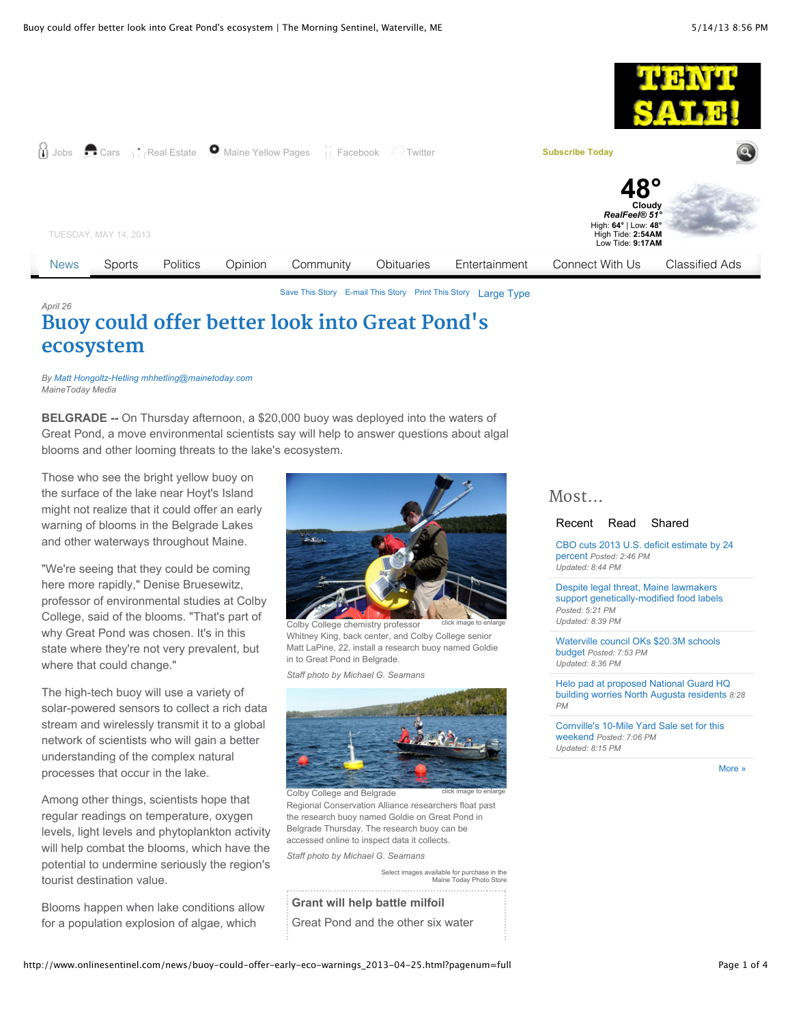

[Save This Story](http://www.onlinesentinel.com/news/buoy-could-offer-early-eco-warnings_2013-04-25.html?pagenum=full#) [E-mail This Story](http://www.onlinesentinel.com/news/buoy-could-offer-early-eco-warnings_2013-04-25.html?pagenum=full#) [Print This Story](http://www.onlinesentinel.com/news/buoy-could-offer-early-eco-warnings_2013-04-25.html?pagenum=full#) [Large Type](javascript:increaseFontSize();)

## *April 26* **[Buoy could offer better look into Great Pond](http://www.onlinesentinel.com/news/buoy-could-offer-early-eco-warnings_2013-04-25.html)'s ecosystem**

*By [Matt Hongoltz-Hetling](http://www.onlinesentinel.com/contact/159922925.html) [mhhetling@mainetoday.com](mailto:mhhetling@mainetoday.com) MaineToday Media*

**BELGRADE --** On Thursday afternoon, a \$20,000 buoy was deployed into the waters of Great Pond, a move environmental scientists say will help to answer questions about algal blooms and other looming threats to the lake's ecosystem.

Those who see the bright yellow buoy on the surface of the lake near Hoyt's Island might not realize that it could offer an early warning of blooms in the Belgrade Lakes and other waterways throughout Maine.

"We're seeing that they could be coming here more rapidly," Denise Bruesewitz, professor of environmental studies at Colby College, said of the blooms. "That's part of why Great Pond was chosen. It's in this state where they're not very prevalent, but where that could change."

The high-tech buoy will use a variety of solar-powered sensors to collect a rich data stream and wirelessly transmit it to a global network of scientists who will gain a better understanding of the complex natural processes that occur in the lake.

Among other things, scientists hope that regular readings on temperature, oxygen levels, light levels and phytoplankton activity will help combat the blooms, which have the potential to undermine seriously the region's tourist destination value.

Blooms happen when lake conditions allow for a population explosion of algae, which



click image to enlarge Colby College chemistry professor Whitney King, back center, and Colby College senior Matt LaPine, 22, install a research buoy named Goldie in to Great Pond in Belgrade.

*Staff photo by Michael G. Seamans*



click image to enlarge Colby College and Belgrade Regional Conservation Alliance researchers float past the research buoy named Goldie on Great Pond in Belgrade Thursday. The research buoy can be accessed online to inspect data it collects.

*Staff photo by Michael G. Seamans*

[Select images available for purchase in the](http://mainetoday.mycapture.com/mycapture/index.asp) Maine Today Photo Store

**Grant will help battle milfoil** Great Pond and the other six water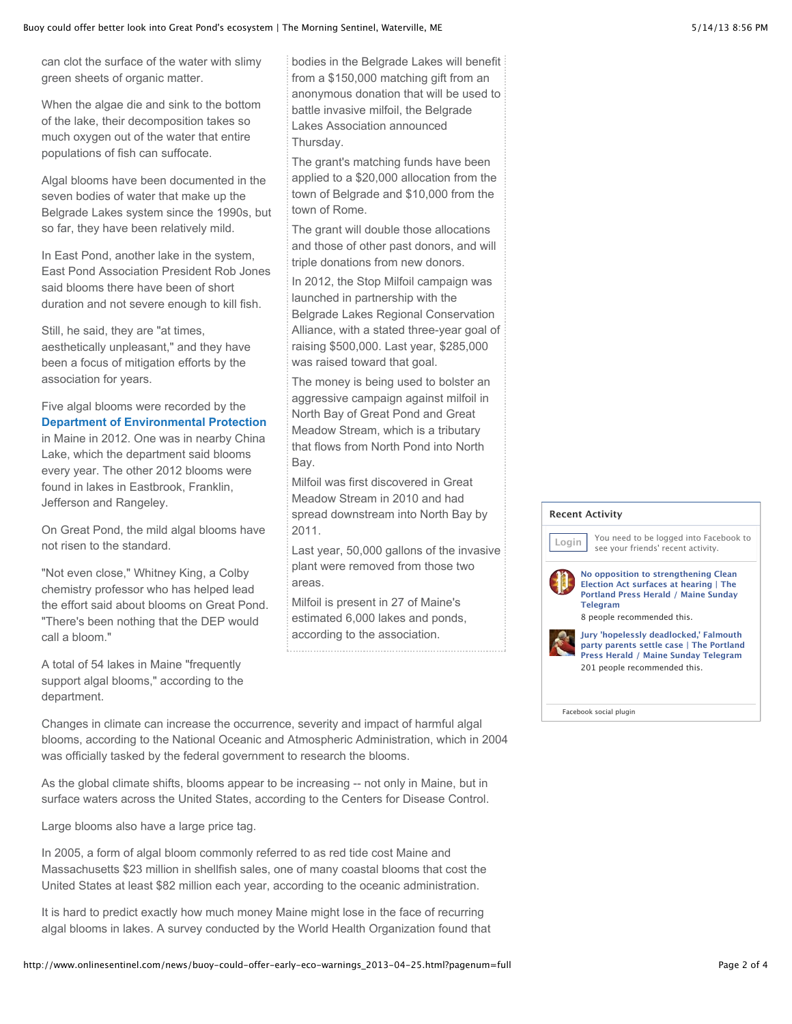can clot the surface of the water with slimy green sheets of organic matter.

When the algae die and sink to the bottom of the lake, their decomposition takes so much oxygen out of the water that entire populations of fish can suffocate.

Algal blooms have been documented in the seven bodies of water that make up the Belgrade Lakes system since the 1990s, but so far, they have been relatively mild.

In East Pond, another lake in the system, East Pond Association President Rob Jones said blooms there have been of short duration and not severe enough to kill fish.

Still, he said, they are "at times, aesthetically unpleasant," and they have been a focus of mitigation efforts by the association for years.

Five algal blooms were recorded by the **[Department of Environmental Protection](http://www.onlinesentinel.com/search?searchterm=%22Department+of+Environmental+Protection%22)** in Maine in 2012. One was in nearby China Lake, which the department said blooms every year. The other 2012 blooms were found in lakes in Eastbrook, Franklin, Jefferson and Rangeley.

On Great Pond, the mild algal blooms have not risen to the standard.

"Not even close," Whitney King, a Colby chemistry professor who has helped lead the effort said about blooms on Great Pond. "There's been nothing that the DEP would call a bloom."

A total of 54 lakes in Maine "frequently support algal blooms," according to the department.

bodies in the Belgrade Lakes will benefit from a \$150,000 matching gift from an anonymous donation that will be used to battle invasive milfoil, the Belgrade Lakes Association announced Thursday.

The grant's matching funds have been applied to a \$20,000 allocation from the town of Belgrade and \$10,000 from the town of Rome.

The grant will double those allocations and those of other past donors, and will triple donations from new donors.

In 2012, the Stop Milfoil campaign was launched in partnership with the Belgrade Lakes Regional Conservation Alliance, with a stated three-year goal of raising \$500,000. Last year, \$285,000 was raised toward that goal.

The money is being used to bolster an aggressive campaign against milfoil in North Bay of Great Pond and Great Meadow Stream, which is a tributary that flows from North Pond into North Bay.

Milfoil was first discovered in Great Meadow Stream in 2010 and had spread downstream into North Bay by 2011.

Last year, 50,000 gallons of the invasive plant were removed from those two areas.

Milfoil is present in 27 of Maine's estimated 6,000 lakes and ponds, according to the association.

Changes in climate can increase the occurrence, severity and impact of harmful algal blooms, according to the National Oceanic and Atmospheric Administration, which in 2004 was officially tasked by the federal government to research the blooms.

As the global climate shifts, blooms appear to be increasing -- not only in Maine, but in surface waters across the United States, according to the Centers for Disease Control.

Large blooms also have a large price tag.

In 2005, a form of algal bloom commonly referred to as red tide cost Maine and Massachusetts \$23 million in shellfish sales, one of many coastal blooms that cost the United States at least \$82 million each year, according to the oceanic administration.

It is hard to predict exactly how much money Maine might lose in the face of recurring algal blooms in lakes. A survey conducted by the World Health Organization found that